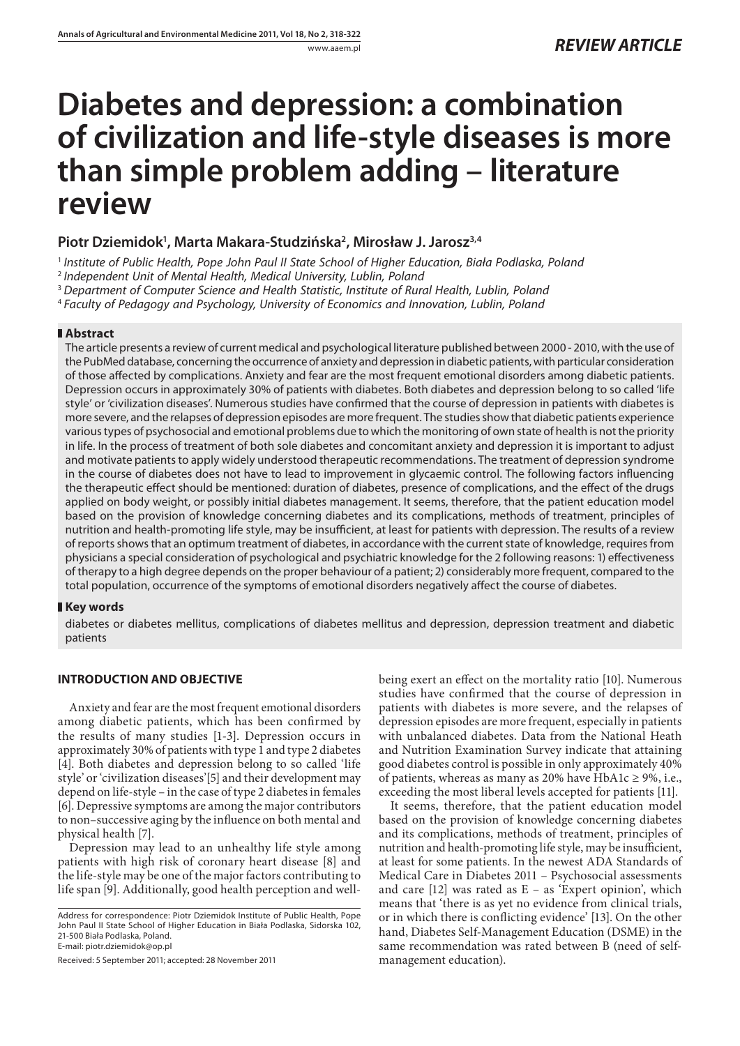# **Diabetes and depression: a combination of civilization and life-style diseases is more than simple problem adding – literature review**

# **Piotr Dziemidok1 , Marta Makara-Studzińska2 , Mirosław J. Jarosz3,4**

<sup>1</sup> Institute of Public Health, Pope John Paul II State School of Higher Education, Biała Podlaska, Poland

<sup>2</sup> Independent Unit of Mental Health, Medical University, Lublin, Poland

<sup>3</sup> Department of Computer Science and Health Statistic, Institute of Rural Health, Lublin, Poland

<sup>4</sup>Faculty of Pedagogy and Psychology, University of Economics and Innovation, Lublin, Poland

## **Abstract**

The article presents a review of current medical and psychological literature published between 2000 - 2010, with the use of the PubMed database, concerning the occurrence of anxiety and depression in diabetic patients, with particular consideration of those affected by complications. Anxiety and fear are the most frequent emotional disorders among diabetic patients. Depression occurs in approximately 30% of patients with diabetes. Both diabetes and depression belong to so called 'life style' or 'civilization diseases'. Numerous studies have confirmed that the course of depression in patients with diabetes is more severe, and the relapses of depression episodes are more frequent. The studies show that diabetic patients experience various types of psychosocial and emotional problems due to which the monitoring of own state of health is not the priority in life. In the process of treatment of both sole diabetes and concomitant anxiety and depression it is important to adjust and motivate patients to apply widely understood therapeutic recommendations. The treatment of depression syndrome in the course of diabetes does not have to lead to improvement in glycaemic control. The following factors influencing the therapeutic effect should be mentioned: duration of diabetes, presence of complications, and the effect of the drugs applied on body weight, or possibly initial diabetes management. It seems, therefore, that the patient education model based on the provision of knowledge concerning diabetes and its complications, methods of treatment, principles of nutrition and health-promoting life style, may be insufficient, at least for patients with depression. The results of a review of reports shows that an optimum treatment of diabetes, in accordance with the current state of knowledge, requires from physicians a special consideration of psychological and psychiatric knowledge for the 2 following reasons: 1) effectiveness of therapy to a high degree depends on the proper behaviour of a patient; 2) considerably more frequent, compared to the total population, occurrence of the symptoms of emotional disorders negatively affect the course of diabetes.

## **Key words**

diabetes or diabetes mellitus, complications of diabetes mellitus and depression, depression treatment and diabetic patients

## **INTRODUCTION AND OBJECTIVE**

Anxiety and fear are the most frequent emotional disorders among diabetic patients, which has been confirmed by the results of many studies [1-3]. Depression occurs in approximately 30% of patients with type 1 and type 2 diabetes [4]. Both diabetes and depression belong to so called 'life style' or 'civilization diseases'[5] and their development may depend on life-style – in the case of type 2 diabetes in females [6]. Depressive symptoms are among the major contributors to non-successive aging by the influence on both mental and physical health [7].

Depression may lead to an unhealthy life style among patients with high risk of coronary heart disease [8] and the life-style may be one of the major factors contributing to life span [9]. Additionally, good health perception and wellbeing exert an effect on the mortality ratio [10]. Numerous studies have confirmed that the course of depression in patients with diabetes is more severe, and the relapses of depression episodes are more frequent, especially in patients with unbalanced diabetes. Data from the National Heath and Nutrition Examination Survey indicate that attaining good diabetes control is possible in only approximately 40% of patients, whereas as many as 20% have HbA1c  $\geq$  9%, i.e., exceeding the most liberal levels accepted for patients [11].

It seems, therefore, that the patient education model based on the provision of knowledge concerning diabetes and its complications, methods of treatment, principles of nutrition and health-promoting life style, may be insufficient, at least for some patients. In the newest ADA Standards of Medical Care in Diabetes 2011 – Psychosocial assessments and care  $[12]$  was rated as  $E -$  as 'Expert opinion', which means that 'there is as yet no evidence from clinical trials, or in which there is conflicting evidence' [13]. On the other hand, Diabetes Self-Management Education (DSME) in the same recommendation was rated between B (need of selfmanagement education).

Address for correspondence: Piotr Dziemidok Institute of Public Health, Pope John Paul II State School of Higher Education in Biała Podlaska, Sidorska 102, 21-500 Biała Podlaska, Poland. E-mail: piotr.dziemidok@op.pl

Received: 5 September 2011; accepted: 28 November 2011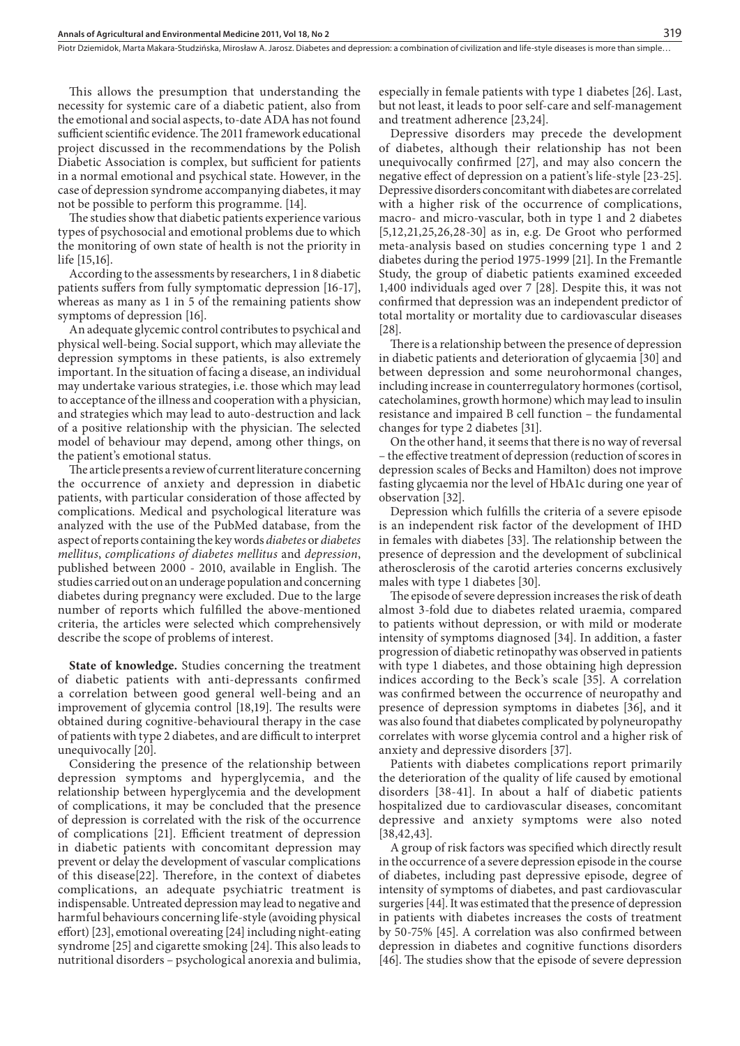Piotr Dziemidok, Marta Makara-Studzińska, Mirosław A. Jarosz. Diabetes and depression: a combination of civilization and life-style diseases is more than simple…

This allows the presumption that understanding the necessity for systemic care of a diabetic patient, also from the emotional and social aspects, to-date ADA has not found sufficient scientific evidence. The 2011 framework educational project discussed in the recommendations by the Polish Diabetic Association is complex, but sufficient for patients in a normal emotional and psychical state. However, in the case of depression syndrome accompanying diabetes, it may not be possible to perform this programme. [14].

The studies show that diabetic patients experience various types of psychosocial and emotional problems due to which the monitoring of own state of health is not the priority in life [15,16].

According to the assessments by researchers, 1 in 8 diabetic patients suffers from fully symptomatic depression [16-17], whereas as many as 1 in 5 of the remaining patients show symptoms of depression [16].

An adequate glycemic control contributes to psychical and physical well-being. Social support, which may alleviate the depression symptoms in these patients, is also extremely important. In the situation of facing a disease, an individual may undertake various strategies, i.e. those which may lead to acceptance of the illness and cooperation with a physician, and strategies which may lead to auto-destruction and lack of a positive relationship with the physician. The selected model of behaviour may depend, among other things, on the patient's emotional status.

The article presents a review of current literature concerning the occurrence of anxiety and depression in diabetic patients, with particular consideration of those affected by complications. Medical and psychological literature was analyzed with the use of the PubMed database, from the aspect of reports containing the key words *diabetes* or *diabetes mellitus*, *complications of diabetes mellitus* and *depression*, published between 2000 - 2010, available in English. The studies carried out on an underage population and concerning diabetes during pregnancy were excluded. Due to the large number of reports which fulfilled the above-mentioned criteria, the articles were selected which comprehensively describe the scope of problems of interest.

**State of knowledge.** Studies concerning the treatment of diabetic patients with anti-depressants confirmed a correlation between good general well-being and an improvement of glycemia control [18,19]. The results were obtained during cognitive-behavioural therapy in the case of patients with type 2 diabetes, and are difficult to interpret unequivocally [20].

Considering the presence of the relationship between depression symptoms and hyperglycemia, and the relationship between hyperglycemia and the development of complications, it may be concluded that the presence of depression is correlated with the risk of the occurrence of complications [21]. Efficient treatment of depression in diabetic patients with concomitant depression may prevent or delay the development of vascular complications of this disease[22]. Therefore, in the context of diabetes complications, an adequate psychiatric treatment is indispensable. Untreated depression may lead to negative and harmful behaviours concerning life-style (avoiding physical effort) [23], emotional overeating [24] including night-eating syndrome [25] and cigarette smoking [24]. This also leads to nutritional disorders – psychological anorexia and bulimia,

especially in female patients with type 1 diabetes [26]. Last, but not least, it leads to poor self-care and self-management and treatment adherence [23,24].

Depressive disorders may precede the development of diabetes, although their relationship has not been unequivocally confirmed [27], and may also concern the negative effect of depression on a patient's life-style [23-25]. Depressive disorders concomitant with diabetes are correlated with a higher risk of the occurrence of complications, macro- and micro-vascular, both in type 1 and 2 diabetes [5,12,21,25,26,28-30] as in, e.g. De Groot who performed meta-analysis based on studies concerning type 1 and 2 diabetes during the period 1975-1999 [21]. In the Fremantle Study, the group of diabetic patients examined exceeded 1,400 individuals aged over 7 [28]. Despite this, it was not confirmed that depression was an independent predictor of total mortality or mortality due to cardiovascular diseases [28].

There is a relationship between the presence of depression in diabetic patients and deterioration of glycaemia [30] and between depression and some neurohormonal changes, including increase in counterregulatory hormones (cortisol, catecholamines, growth hormone) which may lead to insulin resistance and impaired B cell function – the fundamental changes for type 2 diabetes [31].

On the other hand, it seems that there is no way of reversal – the effective treatment of depression (reduction of scores in depression scales of Becks and Hamilton) does not improve fasting glycaemia nor the level of HbA1c during one year of observation [32].

Depression which fulfills the criteria of a severe episode is an independent risk factor of the development of IHD in females with diabetes [33]. The relationship between the presence of depression and the development of subclinical atherosclerosis of the carotid arteries concerns exclusively males with type 1 diabetes [30].

The episode of severe depression increases the risk of death almost 3-fold due to diabetes related uraemia, compared to patients without depression, or with mild or moderate intensity of symptoms diagnosed [34]. In addition, a faster progression of diabetic retinopathy was observed in patients with type 1 diabetes, and those obtaining high depression indices according to the Beck's scale [35]. A correlation was confirmed between the occurrence of neuropathy and presence of depression symptoms in diabetes [36], and it was also found that diabetes complicated by polyneuropathy correlates with worse glycemia control and a higher risk of anxiety and depressive disorders [37].

Patients with diabetes complications report primarily the deterioration of the quality of life caused by emotional disorders [38-41]. In about a half of diabetic patients hospitalized due to cardiovascular diseases, concomitant depressive and anxiety symptoms were also noted [38,42,43].

A group of risk factors was specified which directly result in the occurrence of a severe depression episode in the course of diabetes, including past depressive episode, degree of intensity of symptoms of diabetes, and past cardiovascular surgeries [44]. It was estimated that the presence of depression in patients with diabetes increases the costs of treatment by 50-75% [45]. A correlation was also confirmed between depression in diabetes and cognitive functions disorders [46]. The studies show that the episode of severe depression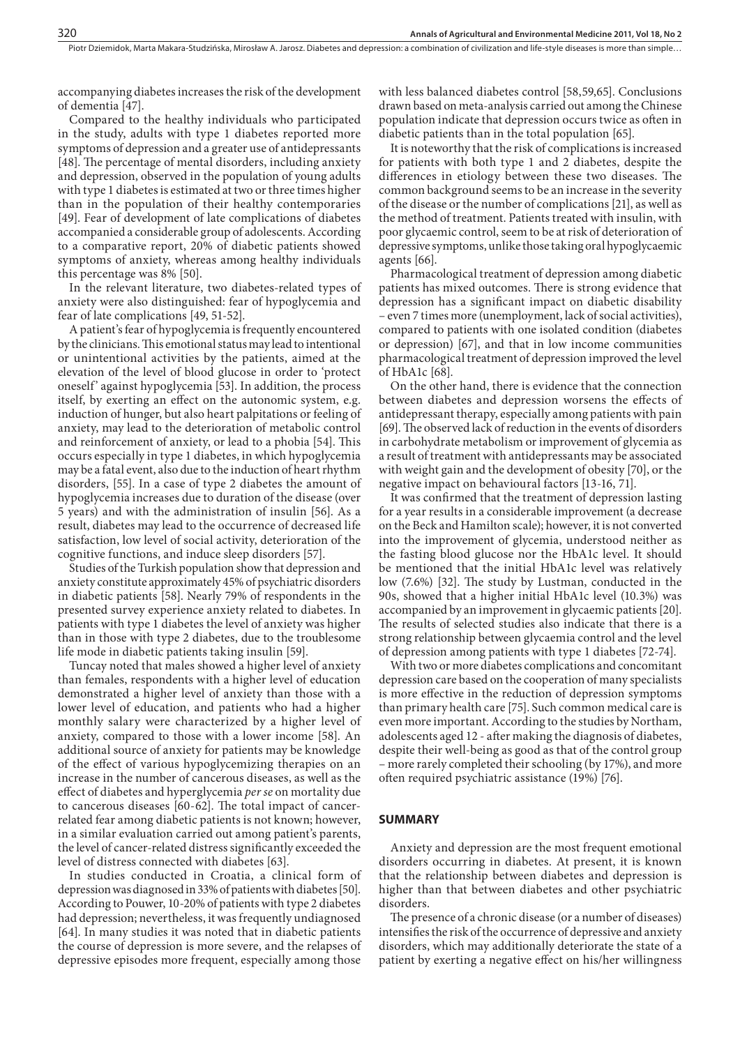accompanying diabetes increases the risk of the development of dementia [47].

Compared to the healthy individuals who participated in the study, adults with type 1 diabetes reported more symptoms of depression and a greater use of antidepressants [48]. The percentage of mental disorders, including anxiety and depression, observed in the population of young adults with type 1 diabetes is estimated at two or three times higher than in the population of their healthy contemporaries [49]. Fear of development of late complications of diabetes accompanied a considerable group of adolescents. According to a comparative report, 20% of diabetic patients showed symptoms of anxiety, whereas among healthy individuals this percentage was 8% [50].

In the relevant literature, two diabetes-related types of anxiety were also distinguished: fear of hypoglycemia and fear of late complications [49, 51-52].

A patient's fear of hypoglycemia is frequently encountered by the clinicians. This emotional status may lead to intentional or unintentional activities by the patients, aimed at the elevation of the level of blood glucose in order to 'protect oneself' against hypoglycemia [53]. In addition, the process itself, by exerting an effect on the autonomic system, e.g. induction of hunger, but also heart palpitations or feeling of anxiety, may lead to the deterioration of metabolic control and reinforcement of anxiety, or lead to a phobia [54]. This occurs especially in type 1 diabetes, in which hypoglycemia may be a fatal event, also due to the induction of heart rhythm disorders, [55]. In a case of type 2 diabetes the amount of hypoglycemia increases due to duration of the disease (over 5 years) and with the administration of insulin [56]. As a result, diabetes may lead to the occurrence of decreased life satisfaction, low level of social activity, deterioration of the cognitive functions, and induce sleep disorders [57].

Studies of the Turkish population show that depression and anxiety constitute approximately 45% of psychiatric disorders in diabetic patients [58]. Nearly 79% of respondents in the presented survey experience anxiety related to diabetes. In patients with type 1 diabetes the level of anxiety was higher than in those with type 2 diabetes, due to the troublesome life mode in diabetic patients taking insulin [59].

Tuncay noted that males showed a higher level of anxiety than females, respondents with a higher level of education demonstrated a higher level of anxiety than those with a lower level of education, and patients who had a higher monthly salary were characterized by a higher level of anxiety, compared to those with a lower income [58]. An additional source of anxiety for patients may be knowledge of the effect of various hypoglycemizing therapies on an increase in the number of cancerous diseases, as well as the effect of diabetes and hyperglycemia *per se* on mortality due to cancerous diseases [60-62]. The total impact of cancerrelated fear among diabetic patients is not known; however, in a similar evaluation carried out among patient's parents, the level of cancer-related distress significantly exceeded the level of distress connected with diabetes [63].

In studies conducted in Croatia, a clinical form of depression was diagnosed in 33% of patients with diabetes [50]. According to Pouwer, 10-20% of patients with type 2 diabetes had depression; nevertheless, it was frequently undiagnosed [64]. In many studies it was noted that in diabetic patients the course of depression is more severe, and the relapses of depressive episodes more frequent, especially among those

with less balanced diabetes control [58,59,65]. Conclusions drawn based on meta-analysis carried out among the Chinese population indicate that depression occurs twice as often in diabetic patients than in the total population [65].

It is noteworthy that the risk of complications is increased for patients with both type 1 and 2 diabetes, despite the differences in etiology between these two diseases. The common background seems to be an increase in the severity of the disease or the number of complications [21], as well as the method of treatment. Patients treated with insulin, with poor glycaemic control, seem to be at risk of deterioration of depressive symptoms, unlike those taking oral hypoglycaemic agents [66].

Pharmacological treatment of depression among diabetic patients has mixed outcomes. There is strong evidence that depression has a significant impact on diabetic disability – even 7 times more (unemployment, lack of social activities), compared to patients with one isolated condition (diabetes or depression) [67], and that in low income communities pharmacological treatment of depression improved the level of HbA1c [68].

On the other hand, there is evidence that the connection between diabetes and depression worsens the effects of antidepressant therapy, especially among patients with pain [69]. The observed lack of reduction in the events of disorders in carbohydrate metabolism or improvement of glycemia as a result of treatment with antidepressants may be associated with weight gain and the development of obesity [70], or the negative impact on behavioural factors [13-16, 71].

It was confirmed that the treatment of depression lasting for a year results in a considerable improvement (a decrease on the Beck and Hamilton scale); however, it is not converted into the improvement of glycemia, understood neither as the fasting blood glucose nor the HbA1c level. It should be mentioned that the initial HbA1c level was relatively low (7.6%) [32]. The study by Lustman, conducted in the 90s, showed that a higher initial HbA1c level (10.3%) was accompanied by an improvement in glycaemic patients [20]. The results of selected studies also indicate that there is a strong relationship between glycaemia control and the level of depression among patients with type 1 diabetes [72-74].

With two or more diabetes complications and concomitant depression care based on the cooperation of many specialists is more effective in the reduction of depression symptoms than primary health care [75]. Such common medical care is even more important. According to the studies by Northam, adolescents aged 12 - after making the diagnosis of diabetes, despite their well-being as good as that of the control group – more rarely completed their schooling (by 17%), and more often required psychiatric assistance (19%) [76].

#### **SUMMARY**

Anxiety and depression are the most frequent emotional disorders occurring in diabetes. At present, it is known that the relationship between diabetes and depression is higher than that between diabetes and other psychiatric disorders.

The presence of a chronic disease (or a number of diseases) intensifies the risk of the occurrence of depressive and anxiety disorders, which may additionally deteriorate the state of a patient by exerting a negative effect on his/her willingness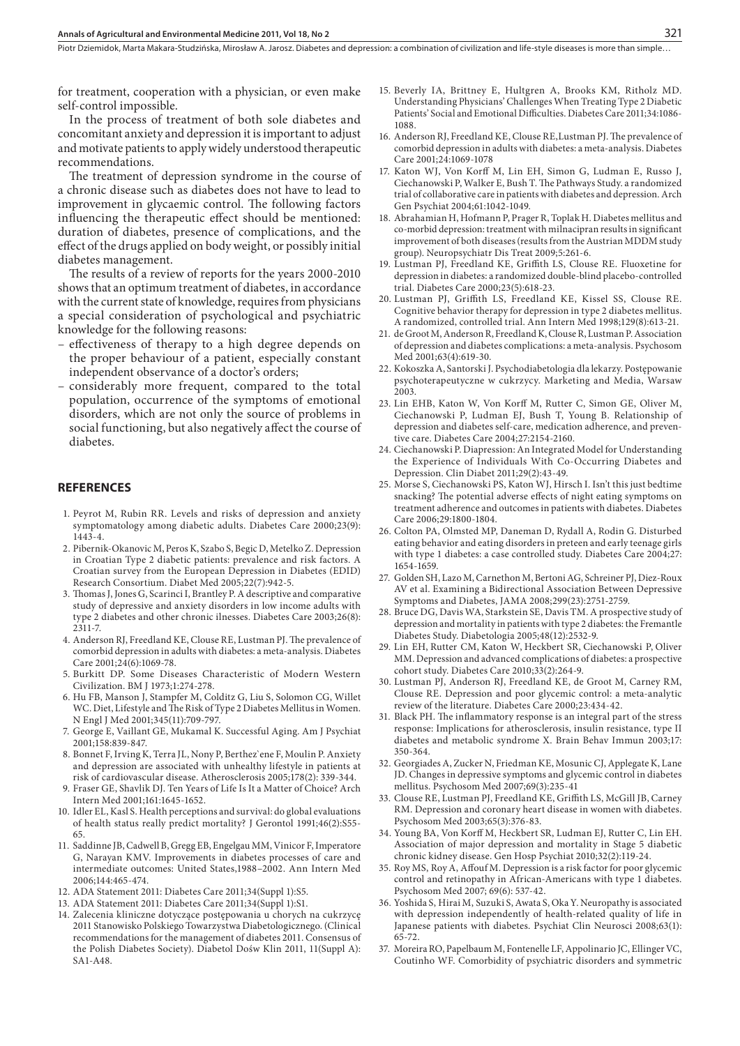Piotr Dziemidok, Marta Makara-Studzińska, Mirosław A. Jarosz. Diabetes and depression: a combination of civilization and life-style diseases is more than simple…

for treatment, cooperation with a physician, or even make self-control impossible.

In the process of treatment of both sole diabetes and concomitant anxiety and depression it is important to adjust and motivate patients to apply widely understood therapeutic recommendations.

The treatment of depression syndrome in the course of a chronic disease such as diabetes does not have to lead to improvement in glycaemic control. The following factors influencing the therapeutic effect should be mentioned: duration of diabetes, presence of complications, and the effect of the drugs applied on body weight, or possibly initial diabetes management.

The results of a review of reports for the years 2000-2010 shows that an optimum treatment of diabetes, in accordance with the current state of knowledge, requires from physicians a special consideration of psychological and psychiatric knowledge for the following reasons:

- effectiveness of therapy to a high degree depends on the proper behaviour of a patient, especially constant independent observance of a doctor's orders;
- considerably more frequent, compared to the total population, occurrence of the symptoms of emotional disorders, which are not only the source of problems in social functioning, but also negatively affect the course of diabetes.

#### **REFERENCES**

- 1. Peyrot M, Rubin RR. Levels and risks of depression and anxiety symptomatology among diabetic adults. Diabetes Care 2000;23(9): 1443-4.
- 2. Pibernik-Okanovic M, Peros K, Szabo S, Begic D, Metelko Z. Depression in Croatian Type 2 diabetic patients: prevalence and risk factors. A Croatian survey from the European Depression in Diabetes (EDID) Research Consortium. Diabet Med 2005;22(7):942-5.
- 3. Thomas J, Jones G, Scarinci I, Brantley P. A descriptive and comparative study of depressive and anxiety disorders in low income adults with type 2 diabetes and other chronic ilnesses. Diabetes Care 2003;26(8): 2311-7.
- 4. Anderson RJ, Freedland KE, Clouse RE, Lustman PJ. The prevalence of comorbid depression in adults with diabetes: a meta-analysis. Diabetes Care 2001;24(6):1069-78.
- 5. Burkitt DP. Some Diseases Characteristic of Modern Western Civilization. BM J 1973;1:274-278.
- 6. Hu FB, Manson J, Stampfer M, Colditz G, Liu S, Solomon CG, Willet WC. Diet, Lifestyle and The Risk of Type 2 Diabetes Mellitus in Women. N Engl J Med 2001;345(11):709-797.
- 7. George E, Vaillant GE, Mukamal K. Successful Aging. Am J Psychiat 2001;158:839-847.
- 8. Bonnet F, Irving K, Terra JL, Nony P, Berthez`ene F, Moulin P. Anxiety and depression are associated with unhealthy lifestyle in patients at risk of cardiovascular disease. Atherosclerosis 2005;178(2): 339-344.
- 9. Fraser GE, Shavlik DJ. Ten Years of Life Is It a Matter of Choice? Arch Intern Med 2001;161:1645-1652.
- 10. Idler EL, Kasl S. Health perceptions and survival: do global evaluations of health status really predict mortality? J Gerontol 1991;46(2):S55- 65.
- 11. Saddinne JB, Cadwell B, Gregg EB, Engelgau MM, Vinicor F, Imperatore G, Narayan KMV. Improvements in diabetes processes of care and intermediate outcomes: United States,1988–2002. Ann Intern Med 2006;144:465-474.
- 12. ADA Statement 2011: Diabetes Care 2011;34(Suppl 1):S5.
- 13. ADA Statement 2011: Diabetes Care 2011;34(Suppl 1):S1.
- 14. Zalecenia kliniczne dotyczące postępowania u chorych na cukrzycę 2011 Stanowisko Polskiego Towarzystwa Diabetologicznego. (Clinical recommendations for the management of diabetes 2011. Consensus of the Polish Diabetes Society). Diabetol Dośw Klin 2011, 11(Suppl A): SA1-A48.
- 15. Beverly IA, Brittney E, Hultgren A, Brooks KM, Ritholz MD. Understanding Physicians' Challenges When Treating Type 2 Diabetic Patients' Social and Emotional Difficulties. Diabetes Care 2011;34:1086-1088.
- 16. Anderson RJ, Freedland KE, Clouse RE, Lustman PJ. The prevalence of comorbid depression in adults with diabetes: a meta-analysis. Diabetes Care 2001;24:1069-1078
- 17. Katon WJ, Von Korff M, Lin EH, Simon G, Ludman E, Russo J, Ciechanowski P, Walker E, Bush T. The Pathways Study. a randomized trial of collaborative care in patients with diabetes and depression. Arch Gen Psychiat 2004;61:1042-1049.
- 18. Abrahamian H, Hofmann P, Prager R, Toplak H. Diabetes mellitus and co-morbid depression: treatment with milnacipran results in significant improvement of both diseases (results from the Austrian MDDM study group). Neuropsychiatr Dis Treat 2009;5:261-6.
- 19. Lustman PJ, Freedland KE, Griffith LS, Clouse RE. Fluoxetine for depression in diabetes: a randomized double-blind placebo-controlled trial. Diabetes Care 2000;23(5):618-23.
- 20. Lustman PJ, Griffith LS, Freedland KE, Kissel SS, Clouse RE. Cognitive behavior therapy for depression in type 2 diabetes mellitus. A randomized, controlled trial. Ann Intern Med 1998;129(8):613-21.
- 21. de Groot M, Anderson R, Freedland K, Clouse R, Lustman P. Association of depression and diabetes complications: a meta-analysis. Psychosom Med 2001;63(4):619-30.
- 22. Kokoszka A, Santorski J. Psychodiabetologia dla lekarzy. Postępowanie psychoterapeutyczne w cukrzycy. Marketing and Media, Warsaw 2003.
- 23. Lin EHB, Katon W, Von Korff M, Rutter C, Simon GE, Oliver M, Ciechanowski P, Ludman EJ, Bush T, Young B. Relationship of depression and diabetes self-care, medication adherence, and preventive care. Diabetes Care 2004;27:2154-2160.
- 24. Ciechanowski P. Diapression: An Integrated Model for Understanding the Experience of Individuals With Co-Occurring Diabetes and Depression. Clin Diabet 2011;29(2):43-49.
- 25. Morse S, Ciechanowski PS, Katon WJ, Hirsch I. Isn't this just bedtime snacking? The potential adverse effects of night eating symptoms on treatment adherence and outcomes in patients with diabetes. Diabetes Care 2006;29:1800-1804.
- 26. Colton PA, Olmsted MP, Daneman D, Rydall A, Rodin G. Disturbed eating behavior and eating disorders in preteen and early teenage girls with type 1 diabetes: a case controlled study. Diabetes Care 2004;27: 1654-1659.
- 27. Golden SH, Lazo M, Carnethon M, Bertoni AG, Schreiner PJ, Diez-Roux AV et al. Examining a Bidirectional Association Between Depressive Symptoms and Diabetes, JAMA 2008;299(23):2751-2759.
- 28. Bruce DG, Davis WA, Starkstein SE, Davis TM. A prospective study of depression and mortality in patients with type 2 diabetes: the Fremantle Diabetes Study. Diabetologia 2005;48(12):2532-9.
- 29. Lin EH, Rutter CM, Katon W, Heckbert SR, Ciechanowski P, Oliver MM. Depression and advanced complications of diabetes: a prospective cohort study. Diabetes Care 2010;33(2):264-9.
- 30. Lustman PJ, Anderson RJ, Freedland KE, de Groot M, Carney RM, Clouse RE. Depression and poor glycemic control: a meta-analytic review of the literature. Diabetes Care 2000;23:434-42.
- 31. Black PH. The inflammatory response is an integral part of the stress response: Implications for atherosclerosis, insulin resistance, type II diabetes and metabolic syndrome X. Brain Behav Immun 2003;17: 350-364.
- 32. Georgiades A, Zucker N, Friedman KE, Mosunic CJ, Applegate K, Lane JD. Changes in depressive symptoms and glycemic control in diabetes mellitus. Psychosom Med 2007;69(3):235-41
- 33. Clouse RE, Lustman PJ, Freedland KE, Griffith LS, McGill JB, Carney RM. Depression and coronary heart disease in women with diabetes. Psychosom Med 2003;65(3):376-83.
- 34. Young BA, Von Korff M, Heckbert SR, Ludman EJ, Rutter C, Lin EH. Association of major depression and mortality in Stage 5 diabetic chronic kidney disease. Gen Hosp Psychiat 2010;32(2):119-24.
- 35. Roy MS, Roy A, Affouf M. Depression is a risk factor for poor glycemic control and retinopathy in African-Americans with type 1 diabetes. Psychosom Med 2007; 69(6): 537-42.
- 36. Yoshida S, Hirai M, Suzuki S, Awata S, Oka Y. Neuropathy is associated with depression independently of health-related quality of life in Japanese patients with diabetes. Psychiat Clin Neurosci 2008;63(1): 65-72.
- 37. Moreira RO, Papelbaum M, Fontenelle LF, Appolinario JC, Ellinger VC, Coutinho WF. Comorbidity of psychiatric disorders and symmetric